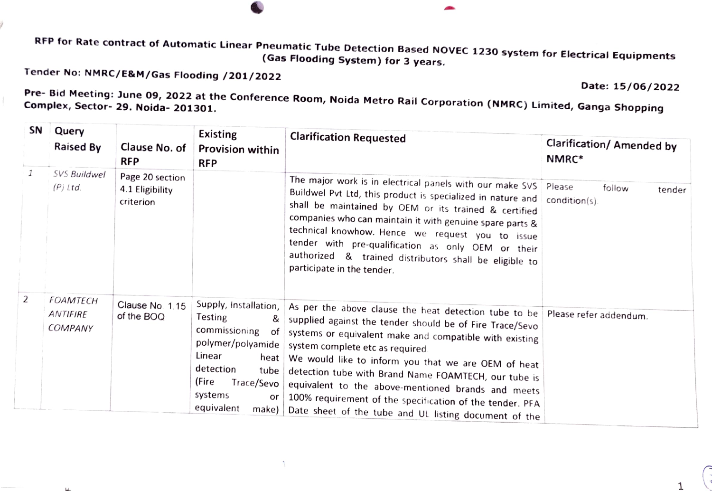RFP for Rate contract of Automatic Linear Pneumatic Tube Detection Based NOVEC 1230 system for Electrical Equipments<br>Gas Flooding System) for 3 years.

Tender No: NMRC/E&M/Gas Flooding /201/2022

ý

 $\mathbf{u}$ 

Date: 15/06/2022

Pre- Bid Meeting: June 09, 2022 at the Conference Room, Noida Metro Rail Corporation (NMRC) Limited, Ganga Shopping

| SN | Query<br><b>Raised By</b>                     | Clause No. of<br><b>RFP</b>                     | Existing<br><b>Provision within</b><br><b>RFP</b>                                                                                                                                       | <b>Clarification Requested</b>                                                                                                                                                                                                                                                                                                                                                                                                                                                                                                    | Clarification/ Amended by<br>NMRC* |
|----|-----------------------------------------------|-------------------------------------------------|-----------------------------------------------------------------------------------------------------------------------------------------------------------------------------------------|-----------------------------------------------------------------------------------------------------------------------------------------------------------------------------------------------------------------------------------------------------------------------------------------------------------------------------------------------------------------------------------------------------------------------------------------------------------------------------------------------------------------------------------|------------------------------------|
| 1  | SVS Buildwel<br>$(P)$ Ltd.                    | Page 20 section<br>4.1 Eligibility<br>criterion |                                                                                                                                                                                         | The major work is in electrical panels with our make SVS Please<br>Buildwel Pvt Ltd, this product is specialized in nature and<br>shall be maintained by OEM or its trained & certified<br>companies who can maintain it with genuine spare parts &<br>technical knowhow. Hence we request you to issue<br>tender with pre-qualification as only OEM or their<br>authorized & trained distributors shall be eligible to<br>participate in the tender.                                                                             | follow<br>tender<br>condition(s).  |
| 2  | <b>FOAMTECH</b><br>ANTIFIRE<br><b>COMPANY</b> | Clause No. 1.15<br>of the BOQ                   | Supply, Installation,<br>Testing<br>&<br>commissioning<br>of<br>polymer/polyamide<br>Linear<br>heat<br>detection<br>tube<br>(Fire<br>Trace/Sevo<br>systems<br>or<br>equivalent<br>make) | As per the above clause the heat detection tube to be Please refer addendum.<br>supplied against the tender should be of Fire Trace/Sevo<br>systems or equivalent make and compatible with existing<br>system complete etc as required.<br>We would like to inform you that we are OEM of heat<br>detection tube with Brand Name FOAMTECH, our tube is<br>equivalent to the above-mentioned brands and meets<br>100% requirement of the specification of the tender. PFA<br>Date sheet of the tube and UL listing document of the |                                    |

 $\mathcal{L}$